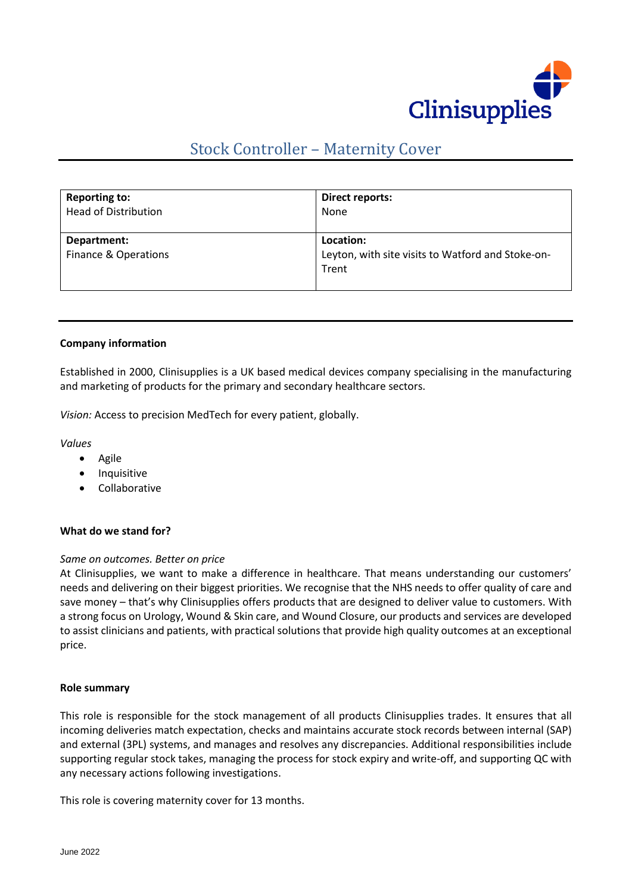

# Stock Controller – Maternity Cover

| <b>Reporting to:</b>                | Direct reports:                                                         |
|-------------------------------------|-------------------------------------------------------------------------|
| <b>Head of Distribution</b>         | None                                                                    |
| Department:<br>Finance & Operations | Location:<br>Leyton, with site visits to Watford and Stoke-on-<br>Trent |

#### **Company information**

Established in 2000, Clinisupplies is a UK based medical devices company specialising in the manufacturing and marketing of products for the primary and secondary healthcare sectors.

*Vision:* Access to precision MedTech for every patient, globally.

*Values*

- Agile
- Inquisitive
- Collaborative

#### **What do we stand for?**

#### *Same on outcomes. Better on price*

At Clinisupplies, we want to make a difference in healthcare. That means understanding our customers' needs and delivering on their biggest priorities. We recognise that the NHS needs to offer quality of care and save money – that's why Clinisupplies offers products that are designed to deliver value to customers. With a strong focus on Urology, Wound & Skin care, and Wound Closure, our products and services are developed to assist clinicians and patients, with practical solutions that provide high quality outcomes at an exceptional price.

#### **Role summary**

This role is responsible for the stock management of all products Clinisupplies trades. It ensures that all incoming deliveries match expectation, checks and maintains accurate stock records between internal (SAP) and external (3PL) systems, and manages and resolves any discrepancies. Additional responsibilities include supporting regular stock takes, managing the process for stock expiry and write-off, and supporting QC with any necessary actions following investigations.

This role is covering maternity cover for 13 months.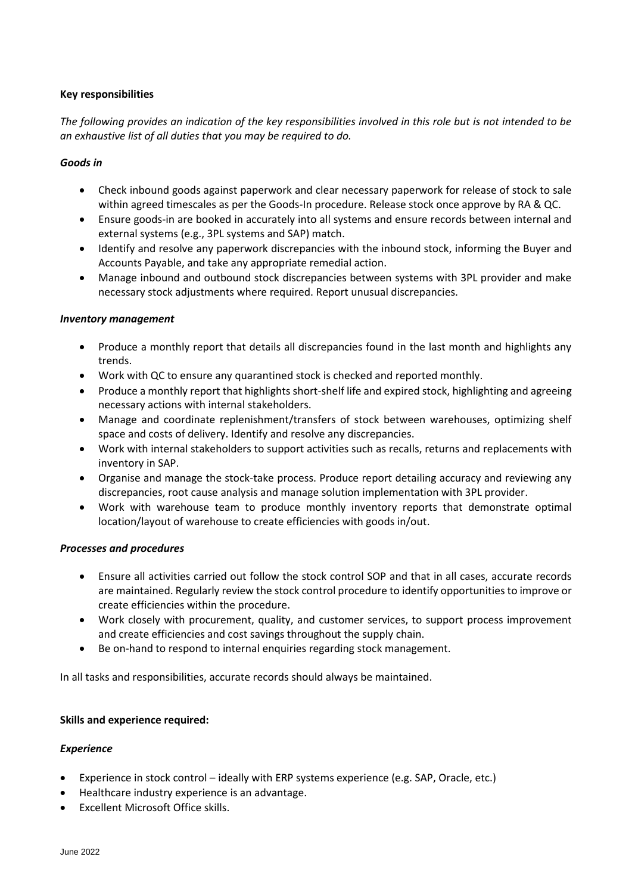## **Key responsibilities**

*The following provides an indication of the key responsibilities involved in this role but is not intended to be an exhaustive list of all duties that you may be required to do.*

## *Goods in*

- Check inbound goods against paperwork and clear necessary paperwork for release of stock to sale within agreed timescales as per the Goods-In procedure. Release stock once approve by RA & QC.
- Ensure goods-in are booked in accurately into all systems and ensure records between internal and external systems (e.g., 3PL systems and SAP) match.
- Identify and resolve any paperwork discrepancies with the inbound stock, informing the Buyer and Accounts Payable, and take any appropriate remedial action.
- Manage inbound and outbound stock discrepancies between systems with 3PL provider and make necessary stock adjustments where required. Report unusual discrepancies.

## *Inventory management*

- Produce a monthly report that details all discrepancies found in the last month and highlights any trends.
- Work with QC to ensure any quarantined stock is checked and reported monthly.
- Produce a monthly report that highlights short-shelf life and expired stock, highlighting and agreeing necessary actions with internal stakeholders.
- Manage and coordinate replenishment/transfers of stock between warehouses, optimizing shelf space and costs of delivery. Identify and resolve any discrepancies.
- Work with internal stakeholders to support activities such as recalls, returns and replacements with inventory in SAP.
- Organise and manage the stock-take process. Produce report detailing accuracy and reviewing any discrepancies, root cause analysis and manage solution implementation with 3PL provider.
- Work with warehouse team to produce monthly inventory reports that demonstrate optimal location/layout of warehouse to create efficiencies with goods in/out.

## *Processes and procedures*

- Ensure all activities carried out follow the stock control SOP and that in all cases, accurate records are maintained. Regularly review the stock control procedure to identify opportunities to improve or create efficiencies within the procedure.
- Work closely with procurement, quality, and customer services, to support process improvement and create efficiencies and cost savings throughout the supply chain.
- Be on-hand to respond to internal enquiries regarding stock management.

In all tasks and responsibilities, accurate records should always be maintained.

## **Skills and experience required:**

## *Experience*

- Experience in stock control ideally with ERP systems experience (e.g. SAP, Oracle, etc.)
- Healthcare industry experience is an advantage.
- Excellent Microsoft Office skills.